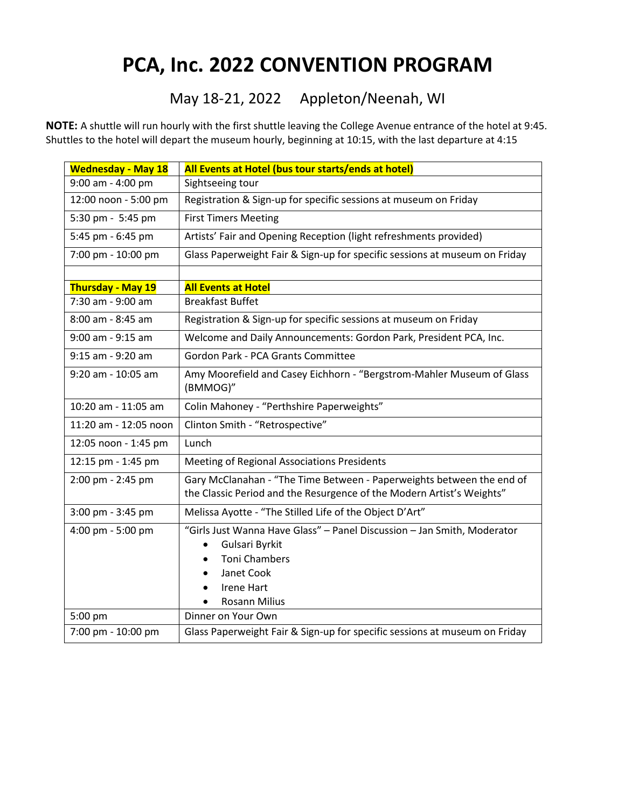## **PCA, Inc. 2022 CONVENTION PROGRAM**

## May 18-21, 2022 Appleton/Neenah, WI

**NOTE:** A shuttle will run hourly with the first shuttle leaving the College Avenue entrance of the hotel at 9:45. Shuttles to the hotel will depart the museum hourly, beginning at 10:15, with the last departure at 4:15

| <b>Wednesday - May 18</b> | All Events at Hotel (bus tour starts/ends at hotel)                                                                                                                                                    |  |  |
|---------------------------|--------------------------------------------------------------------------------------------------------------------------------------------------------------------------------------------------------|--|--|
| 9:00 am - 4:00 pm         | Sightseeing tour                                                                                                                                                                                       |  |  |
| 12:00 noon - 5:00 pm      | Registration & Sign-up for specific sessions at museum on Friday                                                                                                                                       |  |  |
| 5:30 pm - 5:45 pm         | <b>First Timers Meeting</b>                                                                                                                                                                            |  |  |
| 5:45 pm - 6:45 pm         | Artists' Fair and Opening Reception (light refreshments provided)                                                                                                                                      |  |  |
| 7:00 pm - 10:00 pm        | Glass Paperweight Fair & Sign-up for specific sessions at museum on Friday                                                                                                                             |  |  |
|                           |                                                                                                                                                                                                        |  |  |
| <b>Thursday - May 19</b>  | <b>All Events at Hotel</b>                                                                                                                                                                             |  |  |
| 7:30 am - 9:00 am         | <b>Breakfast Buffet</b>                                                                                                                                                                                |  |  |
| 8:00 am - 8:45 am         | Registration & Sign-up for specific sessions at museum on Friday                                                                                                                                       |  |  |
| 9:00 am - 9:15 am         | Welcome and Daily Announcements: Gordon Park, President PCA, Inc.                                                                                                                                      |  |  |
| 9:15 am - 9:20 am         | Gordon Park - PCA Grants Committee                                                                                                                                                                     |  |  |
| 9:20 am - 10:05 am        | Amy Moorefield and Casey Eichhorn - "Bergstrom-Mahler Museum of Glass<br>(BMMOG)"                                                                                                                      |  |  |
| 10:20 am - 11:05 am       | Colin Mahoney - "Perthshire Paperweights"                                                                                                                                                              |  |  |
| 11:20 am - 12:05 noon     | Clinton Smith - "Retrospective"                                                                                                                                                                        |  |  |
| 12:05 noon - 1:45 pm      | Lunch                                                                                                                                                                                                  |  |  |
| 12:15 pm - 1:45 pm        | Meeting of Regional Associations Presidents                                                                                                                                                            |  |  |
| 2:00 pm - 2:45 pm         | Gary McClanahan - "The Time Between - Paperweights between the end of<br>the Classic Period and the Resurgence of the Modern Artist's Weights"                                                         |  |  |
| 3:00 pm - 3:45 pm         | Melissa Ayotte - "The Stilled Life of the Object D'Art"                                                                                                                                                |  |  |
| 4:00 pm - 5:00 pm         | "Girls Just Wanna Have Glass" - Panel Discussion - Jan Smith, Moderator<br>Gulsari Byrkit<br>$\bullet$<br><b>Toni Chambers</b><br>$\bullet$<br>Janet Cook<br><b>Irene Hart</b><br><b>Rosann Milius</b> |  |  |
| 5:00 pm                   | Dinner on Your Own                                                                                                                                                                                     |  |  |
| 7:00 pm - 10:00 pm        | Glass Paperweight Fair & Sign-up for specific sessions at museum on Friday                                                                                                                             |  |  |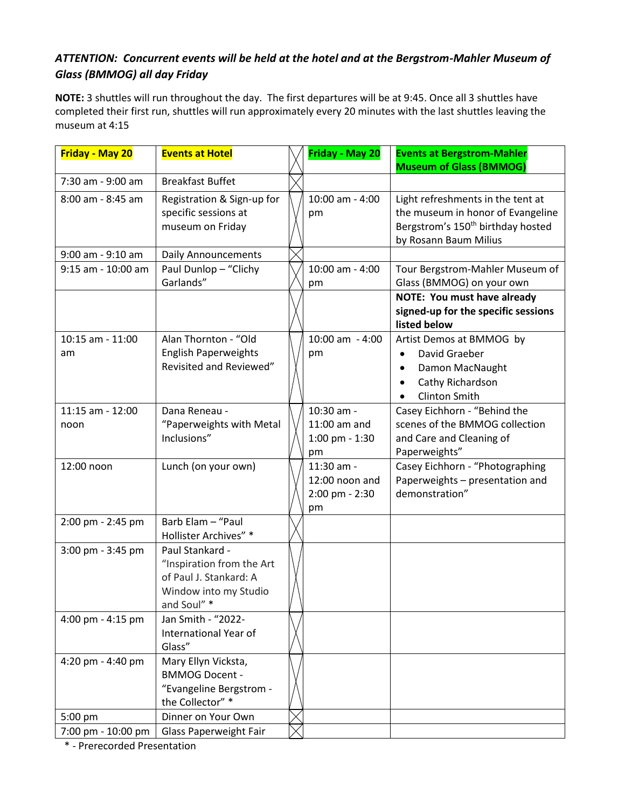## *ATTENTION: Concurrent events will be held at the hotel and at the Bergstrom-Mahler Museum of Glass (BMMOG) all day Friday*

**NOTE:** 3 shuttles will run throughout the day. The first departures will be at 9:45. Once all 3 shuttles have completed their first run, shuttles will run approximately every 20 minutes with the last shuttles leaving the museum at 4:15

| <b>Friday - May 20</b>   | <b>Events at Hotel</b>                                                                                         | Friday - May 20                                      | <b>Events at Bergstrom-Mahler</b><br><b>Museum of Glass (BMMOG)</b>                                                                              |
|--------------------------|----------------------------------------------------------------------------------------------------------------|------------------------------------------------------|--------------------------------------------------------------------------------------------------------------------------------------------------|
| 7:30 am - 9:00 am        | <b>Breakfast Buffet</b>                                                                                        |                                                      |                                                                                                                                                  |
| 8:00 am - 8:45 am        | Registration & Sign-up for<br>specific sessions at<br>museum on Friday                                         | 10:00 am - 4:00<br>pm                                | Light refreshments in the tent at<br>the museum in honor of Evangeline<br>Bergstrom's 150 <sup>th</sup> birthday hosted<br>by Rosann Baum Milius |
| 9:00 am - 9:10 am        | <b>Daily Announcements</b>                                                                                     |                                                      |                                                                                                                                                  |
| 9:15 am - 10:00 am       | Paul Dunlop - "Clichy<br>Garlands"                                                                             | 10:00 am - 4:00<br>pm                                | Tour Bergstrom-Mahler Museum of<br>Glass (BMMOG) on your own                                                                                     |
|                          |                                                                                                                |                                                      | <b>NOTE: You must have already</b><br>signed-up for the specific sessions<br>listed below                                                        |
| 10:15 am - 11:00<br>am   | Alan Thornton - "Old<br><b>English Paperweights</b><br>Revisited and Reviewed"                                 | 10:00 am - 4:00<br>pm                                | Artist Demos at BMMOG by<br>David Graeber<br>Damon MacNaught<br>Cathy Richardson<br><b>Clinton Smith</b>                                         |
| 11:15 am - 12:00<br>noon | Dana Reneau -<br>"Paperweights with Metal<br>Inclusions"                                                       | 10:30 am -<br>11:00 am and<br>1:00 pm - 1:30<br>pm   | Casey Eichhorn - "Behind the<br>scenes of the BMMOG collection<br>and Care and Cleaning of<br>Paperweights"                                      |
| 12:00 noon               | Lunch (on your own)                                                                                            | 11:30 am -<br>12:00 noon and<br>2:00 pm - 2:30<br>pm | Casey Eichhorn - "Photographing<br>Paperweights - presentation and<br>demonstration"                                                             |
| 2:00 pm - 2:45 pm        | Barb Elam - "Paul<br>Hollister Archives" *                                                                     |                                                      |                                                                                                                                                  |
| 3:00 pm - 3:45 pm        | Paul Stankard -<br>"Inspiration from the Art<br>of Paul J. Stankard: A<br>Window into my Studio<br>and Soul" * |                                                      |                                                                                                                                                  |
| 4:00 pm - 4:15 pm        | Jan Smith - "2022-<br>International Year of<br>Glass"                                                          |                                                      |                                                                                                                                                  |
| 4:20 pm - 4:40 pm        | Mary Ellyn Vicksta,<br><b>BMMOG Docent -</b><br>"Evangeline Bergstrom -<br>the Collector" *                    |                                                      |                                                                                                                                                  |
| 5:00 pm                  | Dinner on Your Own                                                                                             |                                                      |                                                                                                                                                  |
| 7:00 pm - 10:00 pm       | Glass Paperweight Fair                                                                                         |                                                      |                                                                                                                                                  |

\* - Prerecorded Presentation